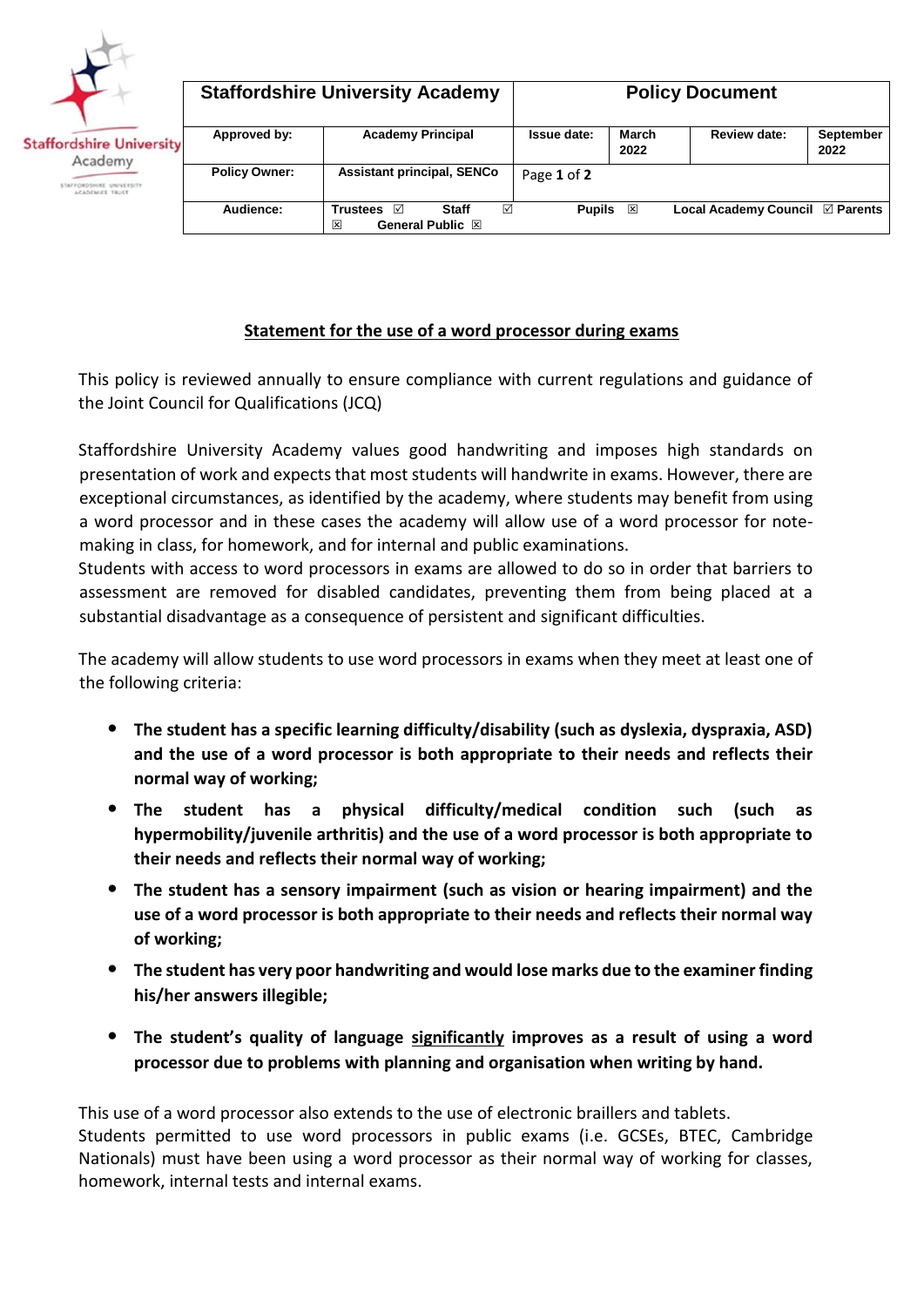

| <b>Staffordshire University Academy</b> | <b>Policy Document</b>                                                         |               |               |                                 |                   |  |
|-----------------------------------------|--------------------------------------------------------------------------------|---------------|---------------|---------------------------------|-------------------|--|
| Approved by:                            | <b>Academy Principal</b>                                                       | Issue date:   | March<br>2022 | <b>Review date:</b>             | September<br>2022 |  |
| <b>Policy Owner:</b>                    | <b>Assistant principal, SENCo</b>                                              | Page 1 of 2   |               |                                 |                   |  |
| Audience:                               | ☑<br><b>Staff</b><br><b>Trustees</b><br>ا⊽ا<br>冈<br>General Public $\boxtimes$ | <b>Pupils</b> | ⊠             | Local Academy Council ⊠ Parents |                   |  |

## **Statement for the use of a word processor during exams**

This policy is reviewed annually to ensure compliance with current regulations and guidance of the Joint Council for Qualifications (JCQ)

Staffordshire University Academy values good handwriting and imposes high standards on presentation of work and expects that most students will handwrite in exams. However, there are exceptional circumstances, as identified by the academy, where students may benefit from using a word processor and in these cases the academy will allow use of a word processor for notemaking in class, for homework, and for internal and public examinations.

Students with access to word processors in exams are allowed to do so in order that barriers to assessment are removed for disabled candidates, preventing them from being placed at a substantial disadvantage as a consequence of persistent and significant difficulties.

The academy will allow students to use word processors in exams when they meet at least one of the following criteria:

- **The student has a specific learning difficulty/disability (such as dyslexia, dyspraxia, ASD) and the use of a word processor is both appropriate to their needs and reflects their normal way of working;**
- **The student has a physical difficulty/medical condition such (such as hypermobility/juvenile arthritis) and the use of a word processor is both appropriate to their needs and reflects their normal way of working;**
- **The student has a sensory impairment (such as vision or hearing impairment) and the use of a word processor is both appropriate to their needs and reflects their normal way of working;**
- **The student has very poor handwriting and would lose marks due to the examiner finding his/her answers illegible;**
- **The student's quality of language significantly improves as a result of using a word processor due to problems with planning and organisation when writing by hand.**

This use of a word processor also extends to the use of electronic braillers and tablets. Students permitted to use word processors in public exams (i.e. GCSEs, BTEC, Cambridge Nationals) must have been using a word processor as their normal way of working for classes, homework, internal tests and internal exams.